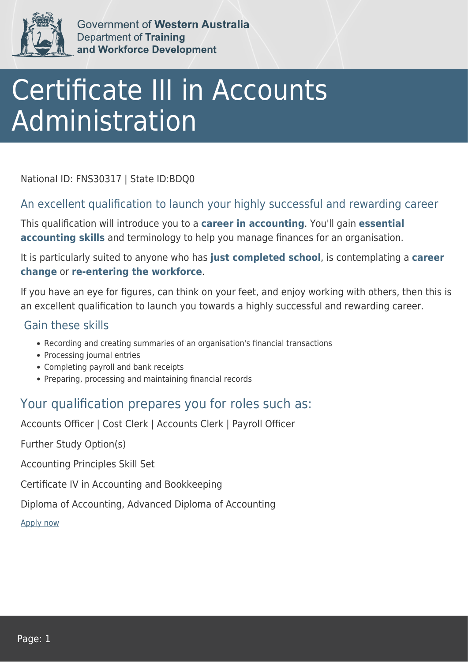

Government of Western Australia Department of Training and Workforce Development

# Certificate III in Accounts Administration

National ID: FNS30317 | State ID:BDQ0

### An excellent qualification to launch your highly successful and rewarding career

This qualification will introduce you to a **career in accounting**. You'll gain **essential accounting skills** and terminology to help you manage finances for an organisation.

It is particularly suited to anyone who has **just completed school**, is contemplating a **career change** or **re-entering the workforce**.

If you have an eye for figures, can think on your feet, and enjoy working with others, then this is an excellent qualification to launch you towards a highly successful and rewarding career.

#### Gain these skills

- Recording and creating summaries of an organisation's financial transactions
- Processing journal entries
- Completing payroll and bank receipts
- Preparing, processing and maintaining financial records

## Your qualification prepares you for roles such as:

Accounts Officer | Cost Clerk | Accounts Clerk | Payroll Officer

Further Study Option(s)

Accounting Principles Skill Set

Certificate IV in Accounting and Bookkeeping

Diploma of Accounting, Advanced Diploma of Accounting

[Apply now](https://tasonline.tafe.wa.edu.au/Default.aspx)